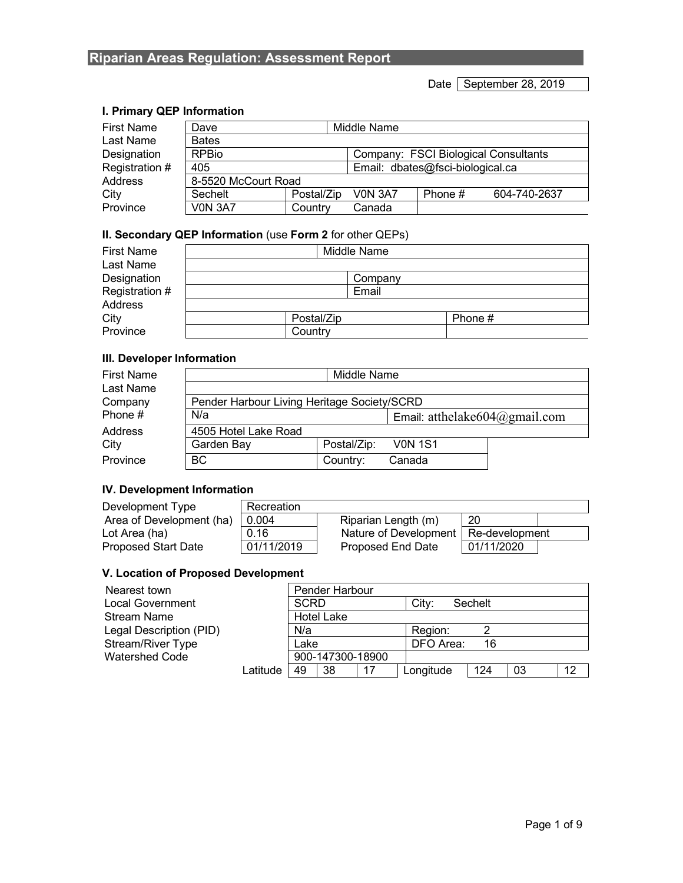Date September 28, 2019

#### **I. Primary QEP Information**

| <b>First Name</b> | Dave                |            | Middle Name                      |                                      |              |
|-------------------|---------------------|------------|----------------------------------|--------------------------------------|--------------|
| Last Name         | <b>Bates</b>        |            |                                  |                                      |              |
| Designation       | <b>RPBio</b>        |            |                                  | Company: FSCI Biological Consultants |              |
| Registration #    | 405                 |            | Email: dbates@fsci-biological.ca |                                      |              |
| Address           | 8-5520 McCourt Road |            |                                  |                                      |              |
| City              | Sechelt             | Postal/Zip | <b>V0N 3A7</b>                   | Phone #                              | 604-740-2637 |
| Province          | <b>VON 3A7</b>      | Country    | Canada                           |                                      |              |

### **II. Secondary QEP Information** (use **Form 2** for other QEPs)

| <b>First Name</b><br>Last Name |            | Middle Name |         |  |  |
|--------------------------------|------------|-------------|---------|--|--|
| Designation                    | Company    |             |         |  |  |
| Registration #                 | Email      |             |         |  |  |
| Address                        |            |             |         |  |  |
| City                           | Postal/Zip |             | Phone # |  |  |
| Province                       | Country    |             |         |  |  |

# **III. Developer Information**

| <b>First Name</b> |                                             | Middle Name |                                   |  |  |
|-------------------|---------------------------------------------|-------------|-----------------------------------|--|--|
| Last Name         |                                             |             |                                   |  |  |
| Company           | Pender Harbour Living Heritage Society/SCRD |             |                                   |  |  |
| Phone #           | N/a                                         |             | Email: atthelake $604$ @gmail.com |  |  |
| Address           | 4505 Hotel Lake Road                        |             |                                   |  |  |
| City              | Garden Bay                                  | Postal/Zip: | <b>VON 1S1</b>                    |  |  |
| Province          | <b>BC</b>                                   | Country:    | Canada                            |  |  |

#### **IV. Development Information**

| Development Type           | Recreation |                       |                |  |
|----------------------------|------------|-----------------------|----------------|--|
| Area of Development (ha)   | 0.004      | Riparian Length (m)   | 20             |  |
| Lot Area (ha)              | 0.16       | Nature of Development | Re-development |  |
| <b>Proposed Start Date</b> | 01/11/2019 | Proposed End Date     | 01/11/2020     |  |

#### **V. Location of Proposed Development**

| Nearest town             |          | Pender Harbour    |                              |
|--------------------------|----------|-------------------|------------------------------|
| <b>Local Government</b>  |          | <b>SCRD</b>       | City:<br>Sechelt             |
| <b>Stream Name</b>       |          | <b>Hotel Lake</b> |                              |
| Legal Description (PID)  |          | N/a               | Region:                      |
| <b>Stream/River Type</b> |          | Lake              | DFO Area:<br>16              |
| <b>Watershed Code</b>    |          | 900-147300-18900  |                              |
|                          | Latitude | 38<br>49          | 12<br>124<br>Longitude<br>03 |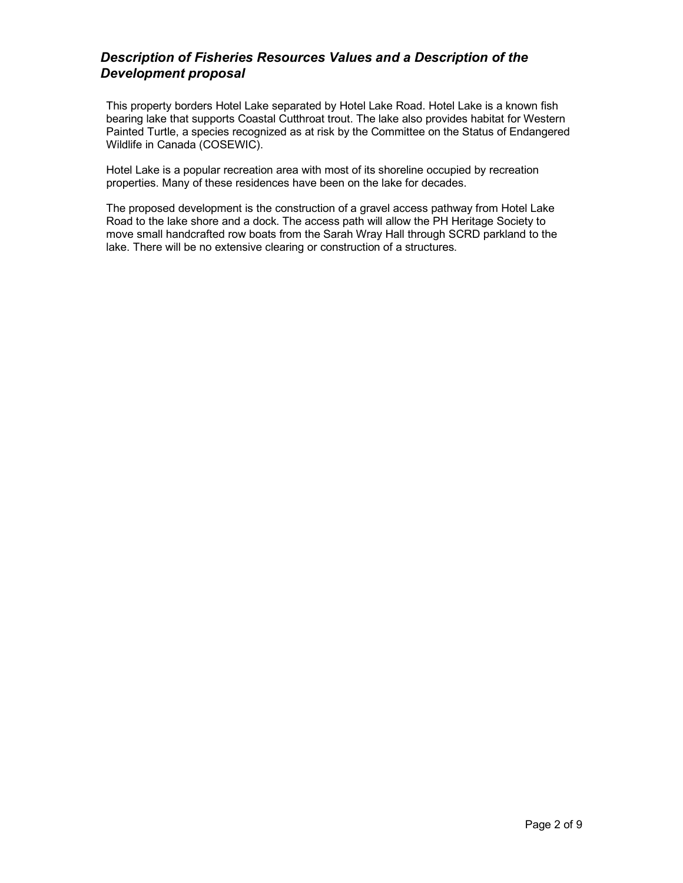# *Description of Fisheries Resources Values and a Description of the Development proposal*

This property borders Hotel Lake separated by Hotel Lake Road. Hotel Lake is a known fish bearing lake that supports Coastal Cutthroat trout. The lake also provides habitat for Western Painted Turtle, a species recognized as at risk by the Committee on the Status of Endangered Wildlife in Canada (COSEWIC).

Hotel Lake is a popular recreation area with most of its shoreline occupied by recreation properties. Many of these residences have been on the lake for decades.

The proposed development is the construction of a gravel access pathway from Hotel Lake Road to the lake shore and a dock. The access path will allow the PH Heritage Society to move small handcrafted row boats from the Sarah Wray Hall through SCRD parkland to the lake. There will be no extensive clearing or construction of a structures.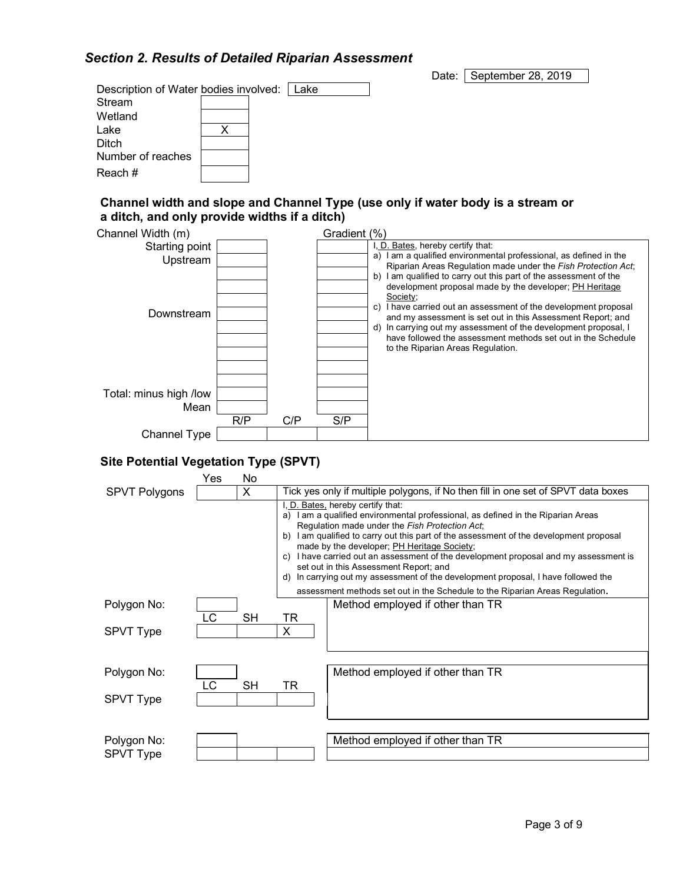# *Section 2. Results of Detailed Riparian Assessment*

Stream Wetland

Ditch

Reach #

Date: September 28, 2019 Description of Water bodies involved: Lake Lake X

Number of reaches

#### **Channel width and slope and Channel Type (use only if water body is a stream or a ditch, and only provide widths if a ditch)**



#### **Site Potential Vegetation Type (SPVT)**

|                      | Yes | No        |                |                                                                                                                                                                                                                                                                                                                                                                                                                                                                                                                                                                                                                |
|----------------------|-----|-----------|----------------|----------------------------------------------------------------------------------------------------------------------------------------------------------------------------------------------------------------------------------------------------------------------------------------------------------------------------------------------------------------------------------------------------------------------------------------------------------------------------------------------------------------------------------------------------------------------------------------------------------------|
| <b>SPVT Polygons</b> |     | X         |                | Tick yes only if multiple polygons, if No then fill in one set of SPVT data boxes                                                                                                                                                                                                                                                                                                                                                                                                                                                                                                                              |
|                      |     |           | a)<br>b)<br>d) | I, D. Bates, hereby certify that:<br>I am a qualified environmental professional, as defined in the Riparian Areas<br>Regulation made under the Fish Protection Act;<br>I am qualified to carry out this part of the assessment of the development proposal<br>made by the developer; PH Heritage Society;<br>c) I have carried out an assessment of the development proposal and my assessment is<br>set out in this Assessment Report; and<br>In carrying out my assessment of the development proposal, I have followed the<br>assessment methods set out in the Schedule to the Riparian Areas Regulation. |
| Polygon No:          |     |           |                | Method employed if other than TR                                                                                                                                                                                                                                                                                                                                                                                                                                                                                                                                                                               |
|                      | LC  | SH        | TR             |                                                                                                                                                                                                                                                                                                                                                                                                                                                                                                                                                                                                                |
| <b>SPVT Type</b>     |     |           | X              |                                                                                                                                                                                                                                                                                                                                                                                                                                                                                                                                                                                                                |
|                      |     |           |                |                                                                                                                                                                                                                                                                                                                                                                                                                                                                                                                                                                                                                |
| Polygon No:          | LC  | <b>SH</b> | TR             | Method employed if other than TR                                                                                                                                                                                                                                                                                                                                                                                                                                                                                                                                                                               |
| <b>SPVT Type</b>     |     |           |                |                                                                                                                                                                                                                                                                                                                                                                                                                                                                                                                                                                                                                |
|                      |     |           |                |                                                                                                                                                                                                                                                                                                                                                                                                                                                                                                                                                                                                                |
| Polygon No:          |     |           |                | Method employed if other than TR                                                                                                                                                                                                                                                                                                                                                                                                                                                                                                                                                                               |
| SPVT Type            |     |           |                |                                                                                                                                                                                                                                                                                                                                                                                                                                                                                                                                                                                                                |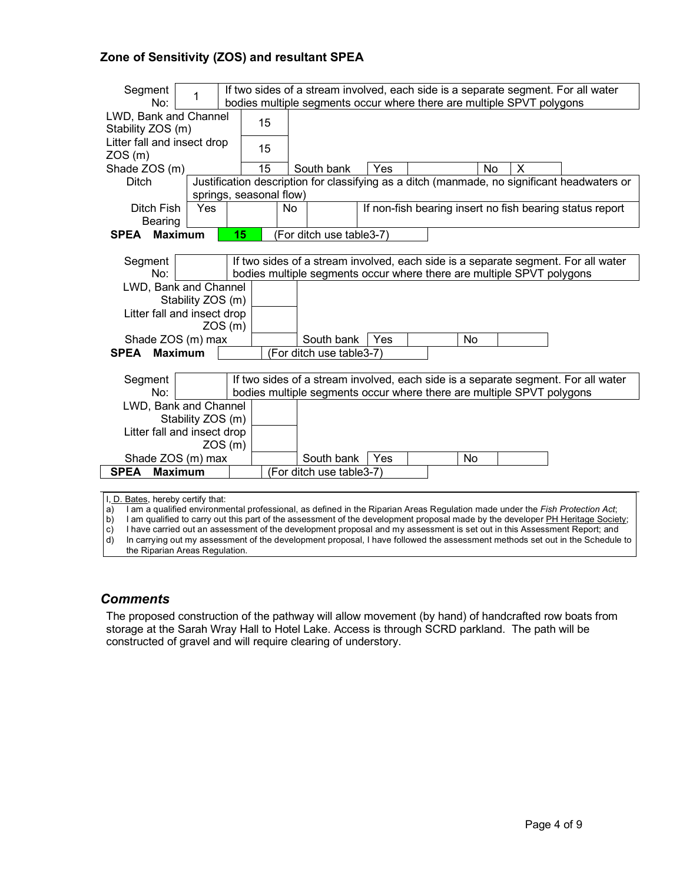#### **Zone of Sensitivity (ZOS) and resultant SPEA**

| Segment<br>No:                   | 1                       | If two sides of a stream involved, each side is a separate segment. For all water<br>bodies multiple segments occur where there are multiple SPVT polygons |    |    |                                                                       |     |  |           |   |                                                                                             |
|----------------------------------|-------------------------|------------------------------------------------------------------------------------------------------------------------------------------------------------|----|----|-----------------------------------------------------------------------|-----|--|-----------|---|---------------------------------------------------------------------------------------------|
| LWD, Bank and Channel            |                         |                                                                                                                                                            |    |    |                                                                       |     |  |           |   |                                                                                             |
| Stability ZOS (m)                |                         |                                                                                                                                                            | 15 |    |                                                                       |     |  |           |   |                                                                                             |
| Litter fall and insect drop      |                         |                                                                                                                                                            | 15 |    |                                                                       |     |  |           |   |                                                                                             |
| ZOS(m)                           |                         |                                                                                                                                                            |    |    |                                                                       |     |  |           |   |                                                                                             |
| Shade ZOS (m)                    |                         |                                                                                                                                                            | 15 |    | South bank                                                            | Yes |  | No        | X |                                                                                             |
| <b>Ditch</b>                     |                         |                                                                                                                                                            |    |    |                                                                       |     |  |           |   | Justification description for classifying as a ditch (manmade, no significant headwaters or |
|                                  | springs, seasonal flow) |                                                                                                                                                            |    |    |                                                                       |     |  |           |   |                                                                                             |
| Ditch Fish                       | Yes                     |                                                                                                                                                            |    | No |                                                                       |     |  |           |   | If non-fish bearing insert no fish bearing status report                                    |
| Bearing                          | <b>Maximum</b>          | 15                                                                                                                                                         |    |    | (For ditch use table3-7)                                              |     |  |           |   |                                                                                             |
| SPEA                             |                         |                                                                                                                                                            |    |    |                                                                       |     |  |           |   |                                                                                             |
| Segment                          |                         |                                                                                                                                                            |    |    |                                                                       |     |  |           |   | If two sides of a stream involved, each side is a separate segment. For all water           |
| No:                              |                         |                                                                                                                                                            |    |    | bodies multiple segments occur where there are multiple SPVT polygons |     |  |           |   |                                                                                             |
| LWD, Bank and Channel            |                         |                                                                                                                                                            |    |    |                                                                       |     |  |           |   |                                                                                             |
|                                  | Stability ZOS (m)       |                                                                                                                                                            |    |    |                                                                       |     |  |           |   |                                                                                             |
| Litter fall and insect drop      |                         |                                                                                                                                                            |    |    |                                                                       |     |  |           |   |                                                                                             |
|                                  |                         | ZOS(m)                                                                                                                                                     |    |    |                                                                       |     |  |           |   |                                                                                             |
| Shade ZOS (m) max                |                         |                                                                                                                                                            |    |    | South bank                                                            | Yes |  | No        |   |                                                                                             |
| <b>SPEA</b>                      | <b>Maximum</b>          |                                                                                                                                                            |    |    | (For ditch use table3-7)                                              |     |  |           |   |                                                                                             |
|                                  |                         |                                                                                                                                                            |    |    |                                                                       |     |  |           |   |                                                                                             |
| Segment                          |                         |                                                                                                                                                            |    |    |                                                                       |     |  |           |   | If two sides of a stream involved, each side is a separate segment. For all water           |
| No:                              |                         |                                                                                                                                                            |    |    | bodies multiple segments occur where there are multiple SPVT polygons |     |  |           |   |                                                                                             |
| LWD, Bank and Channel            |                         |                                                                                                                                                            |    |    |                                                                       |     |  |           |   |                                                                                             |
|                                  | Stability ZOS (m)       |                                                                                                                                                            |    |    |                                                                       |     |  |           |   |                                                                                             |
| Litter fall and insect drop      |                         |                                                                                                                                                            |    |    |                                                                       |     |  |           |   |                                                                                             |
|                                  |                         | ZOS(m)                                                                                                                                                     |    |    |                                                                       |     |  |           |   |                                                                                             |
| Shade ZOS (m) max<br><b>SPEA</b> | <b>Maximum</b>          |                                                                                                                                                            |    |    | South bank<br>(For ditch use table3-7)                                | Yes |  | <b>No</b> |   |                                                                                             |
|                                  |                         |                                                                                                                                                            |    |    |                                                                       |     |  |           |   |                                                                                             |
| D. Rates, hereby certify that    |                         |                                                                                                                                                            |    |    |                                                                       |     |  |           |   |                                                                                             |

<u>s,</u> hereby certify that:

a) I am a qualified environmental professional, as defined in the Riparian Areas Regulation made under the *Fish Protection Act*;

b) I am qualified to carry out this part of the assessment of the development proposal made by the developer PH Heritage Society;

c) I have carried out an assessment of the development proposal and my assessment is set out in this Assessment Report; and d) In carrying out my assessment of the development proposal, I have followed the assessment metho

In carrying out my assessment of the development proposal, I have followed the assessment methods set out in the Schedule to the Riparian Areas Regulation.

#### *Comments*

 $\lceil$ 

The proposed construction of the pathway will allow movement (by hand) of handcrafted row boats from storage at the Sarah Wray Hall to Hotel Lake. Access is through SCRD parkland. The path will be constructed of gravel and will require clearing of understory.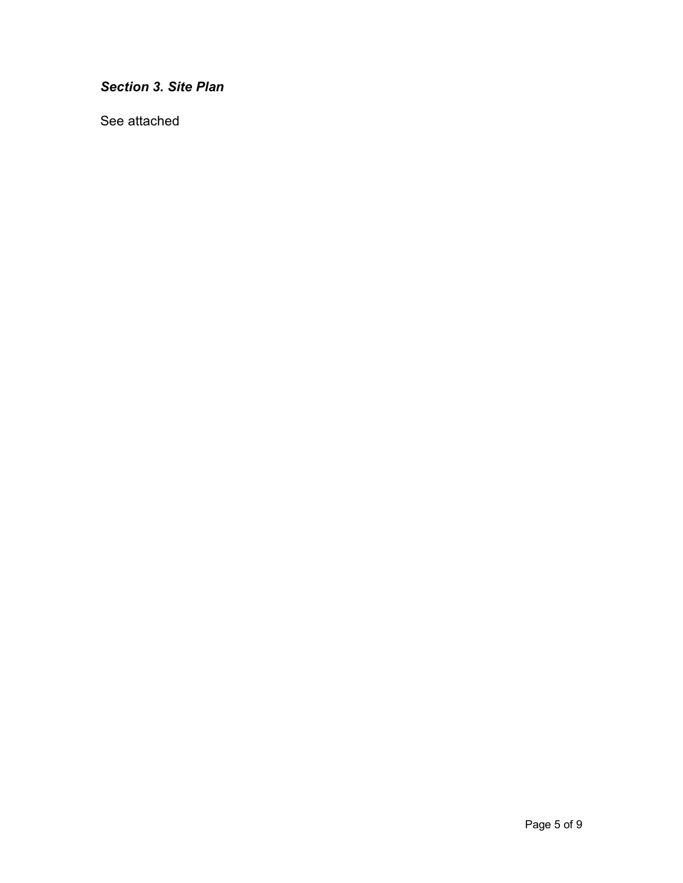*Section 3. Site Plan*

See attached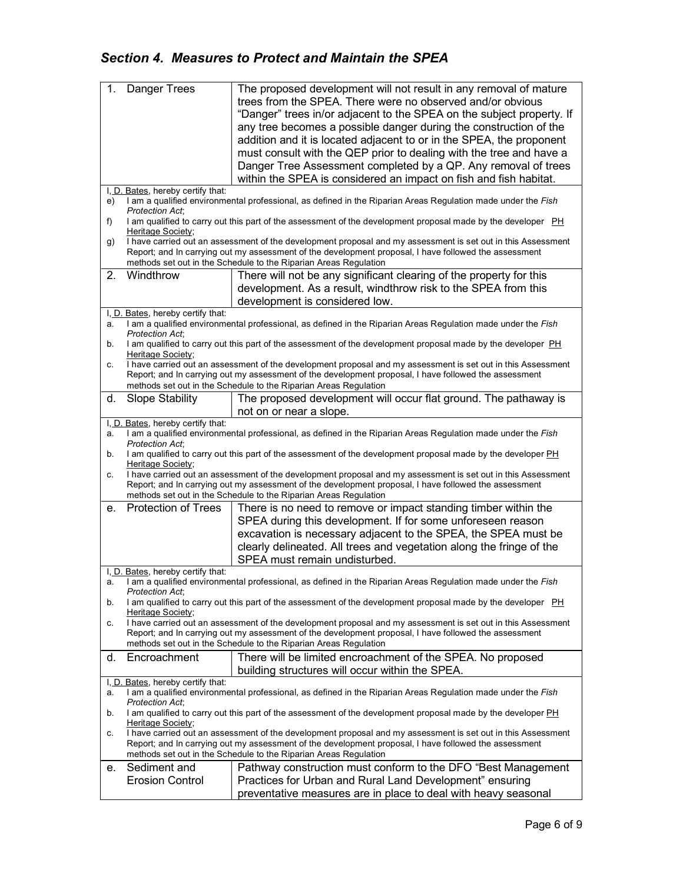# *Section 4. Measures to Protect and Maintain the SPEA*

| 1.            | Danger Trees                      | The proposed development will not result in any removal of mature                                            |  |  |  |  |
|---------------|-----------------------------------|--------------------------------------------------------------------------------------------------------------|--|--|--|--|
|               |                                   | trees from the SPEA. There were no observed and/or obvious                                                   |  |  |  |  |
|               |                                   | "Danger" trees in/or adjacent to the SPEA on the subject property. If                                        |  |  |  |  |
|               |                                   |                                                                                                              |  |  |  |  |
|               |                                   | any tree becomes a possible danger during the construction of the                                            |  |  |  |  |
|               |                                   | addition and it is located adjacent to or in the SPEA, the proponent                                         |  |  |  |  |
|               |                                   | must consult with the QEP prior to dealing with the tree and have a                                          |  |  |  |  |
|               |                                   | Danger Tree Assessment completed by a QP. Any removal of trees                                               |  |  |  |  |
|               |                                   | within the SPEA is considered an impact on fish and fish habitat.                                            |  |  |  |  |
|               |                                   |                                                                                                              |  |  |  |  |
|               | I, D. Bates, hereby certify that: |                                                                                                              |  |  |  |  |
| e)            |                                   | I am a qualified environmental professional, as defined in the Riparian Areas Regulation made under the Fish |  |  |  |  |
|               | <b>Protection Act:</b>            |                                                                                                              |  |  |  |  |
| f)            | Heritage Society;                 | I am qualified to carry out this part of the assessment of the development proposal made by the developer PH |  |  |  |  |
|               |                                   | I have carried out an assessment of the development proposal and my assessment is set out in this Assessment |  |  |  |  |
| g)            |                                   | Report; and In carrying out my assessment of the development proposal, I have followed the assessment        |  |  |  |  |
|               |                                   |                                                                                                              |  |  |  |  |
|               |                                   | methods set out in the Schedule to the Riparian Areas Regulation                                             |  |  |  |  |
| 2.            | Windthrow                         | There will not be any significant clearing of the property for this                                          |  |  |  |  |
|               |                                   | development. As a result, windthrow risk to the SPEA from this                                               |  |  |  |  |
|               |                                   | development is considered low.                                                                               |  |  |  |  |
|               | I, D. Bates, hereby certify that: |                                                                                                              |  |  |  |  |
| a.            |                                   | I am a qualified environmental professional, as defined in the Riparian Areas Regulation made under the Fish |  |  |  |  |
|               | <b>Protection Act:</b>            |                                                                                                              |  |  |  |  |
| b.            |                                   | I am qualified to carry out this part of the assessment of the development proposal made by the developer PH |  |  |  |  |
|               | Heritage Society;                 |                                                                                                              |  |  |  |  |
| c.            |                                   | I have carried out an assessment of the development proposal and my assessment is set out in this Assessment |  |  |  |  |
|               |                                   | Report; and In carrying out my assessment of the development proposal, I have followed the assessment        |  |  |  |  |
|               |                                   | methods set out in the Schedule to the Riparian Areas Regulation                                             |  |  |  |  |
| d.            | <b>Slope Stability</b>            | The proposed development will occur flat ground. The pathaway is                                             |  |  |  |  |
|               |                                   |                                                                                                              |  |  |  |  |
|               |                                   | not on or near a slope.                                                                                      |  |  |  |  |
| I <u>, D.</u> | Bates, hereby certify that:       |                                                                                                              |  |  |  |  |
| a.            |                                   | I am a qualified environmental professional, as defined in the Riparian Areas Regulation made under the Fish |  |  |  |  |
| b.            | Protection Act;                   | I am qualified to carry out this part of the assessment of the development proposal made by the developer PH |  |  |  |  |
|               | Heritage Society;                 |                                                                                                              |  |  |  |  |
| С.            |                                   | I have carried out an assessment of the development proposal and my assessment is set out in this Assessment |  |  |  |  |
|               |                                   | Report; and In carrying out my assessment of the development proposal, I have followed the assessment        |  |  |  |  |
|               |                                   | methods set out in the Schedule to the Riparian Areas Regulation                                             |  |  |  |  |
| е.            | <b>Protection of Trees</b>        | There is no need to remove or impact standing timber within the                                              |  |  |  |  |
|               |                                   |                                                                                                              |  |  |  |  |
|               |                                   | SPEA during this development. If for some unforeseen reason                                                  |  |  |  |  |
|               |                                   | excavation is necessary adjacent to the SPEA, the SPEA must be                                               |  |  |  |  |
|               |                                   | clearly delineated. All trees and vegetation along the fringe of the                                         |  |  |  |  |
|               |                                   | SPEA must remain undisturbed.                                                                                |  |  |  |  |
|               | I, D. Bates, hereby certify that: |                                                                                                              |  |  |  |  |
|               |                                   | I am a qualified environmental professional, as defined in the Riparian Areas Regulation made under the Fish |  |  |  |  |
| а.            | <b>Protection Act,</b>            |                                                                                                              |  |  |  |  |
| b.            |                                   | I am qualified to carry out this part of the assessment of the development proposal made by the developer PH |  |  |  |  |
|               | Heritage Society;                 |                                                                                                              |  |  |  |  |
| c.            |                                   | I have carried out an assessment of the development proposal and my assessment is set out in this Assessment |  |  |  |  |
|               |                                   | Report; and In carrying out my assessment of the development proposal, I have followed the assessment        |  |  |  |  |
|               |                                   | methods set out in the Schedule to the Riparian Areas Regulation                                             |  |  |  |  |
|               |                                   |                                                                                                              |  |  |  |  |
| d.            | Encroachment                      | There will be limited encroachment of the SPEA. No proposed                                                  |  |  |  |  |
|               |                                   | building structures will occur within the SPEA.                                                              |  |  |  |  |
|               | I, D. Bates, hereby certify that: |                                                                                                              |  |  |  |  |
| a.            |                                   | I am a qualified environmental professional, as defined in the Riparian Areas Regulation made under the Fish |  |  |  |  |
|               | <b>Protection Act:</b>            |                                                                                                              |  |  |  |  |
| b.            |                                   | I am qualified to carry out this part of the assessment of the development proposal made by the developer PH |  |  |  |  |
|               | Heritage Society;                 |                                                                                                              |  |  |  |  |
| С.            |                                   | I have carried out an assessment of the development proposal and my assessment is set out in this Assessment |  |  |  |  |
|               |                                   | Report; and In carrying out my assessment of the development proposal, I have followed the assessment        |  |  |  |  |
|               |                                   | methods set out in the Schedule to the Riparian Areas Regulation                                             |  |  |  |  |
| е.            | Sediment and                      | Pathway construction must conform to the DFO "Best Management"                                               |  |  |  |  |
|               | <b>Erosion Control</b>            | Practices for Urban and Rural Land Development" ensuring                                                     |  |  |  |  |
|               |                                   |                                                                                                              |  |  |  |  |
|               |                                   | preventative measures are in place to deal with heavy seasonal                                               |  |  |  |  |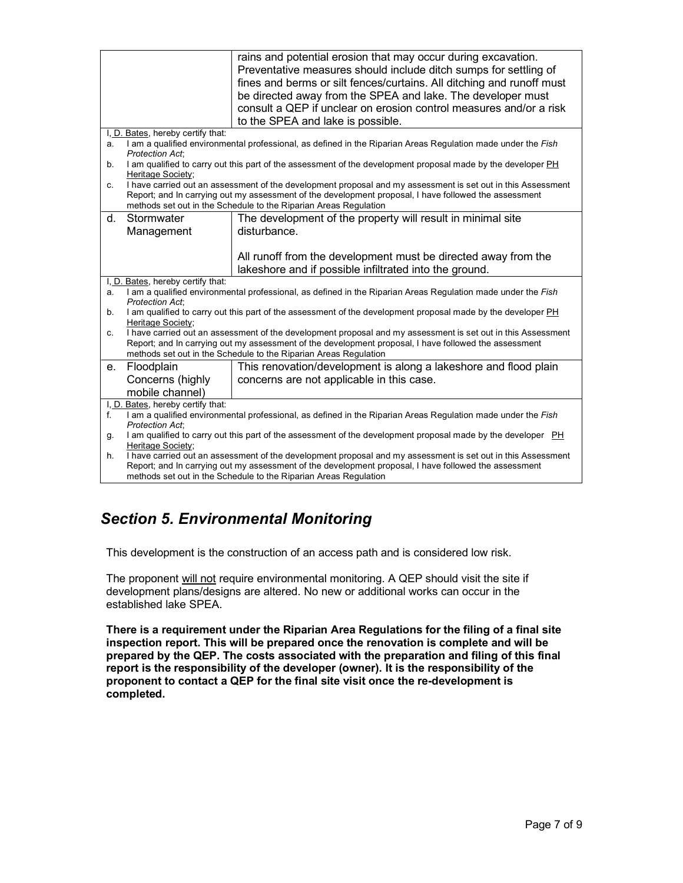|    |                                                                                                                                   | rains and potential erosion that may occur during excavation.                                                                                                                                                         |  |  |  |  |
|----|-----------------------------------------------------------------------------------------------------------------------------------|-----------------------------------------------------------------------------------------------------------------------------------------------------------------------------------------------------------------------|--|--|--|--|
|    |                                                                                                                                   | Preventative measures should include ditch sumps for settling of                                                                                                                                                      |  |  |  |  |
|    |                                                                                                                                   | fines and berms or silt fences/curtains. All ditching and runoff must                                                                                                                                                 |  |  |  |  |
|    |                                                                                                                                   | be directed away from the SPEA and lake. The developer must                                                                                                                                                           |  |  |  |  |
|    |                                                                                                                                   | consult a QEP if unclear on erosion control measures and/or a risk                                                                                                                                                    |  |  |  |  |
|    |                                                                                                                                   | to the SPEA and lake is possible.                                                                                                                                                                                     |  |  |  |  |
|    | I, D. Bates, hereby certify that:                                                                                                 |                                                                                                                                                                                                                       |  |  |  |  |
| a. | <b>Protection Act.</b>                                                                                                            | I am a qualified environmental professional, as defined in the Riparian Areas Regulation made under the Fish                                                                                                          |  |  |  |  |
| b. | Heritage Society;                                                                                                                 | I am qualified to carry out this part of the assessment of the development proposal made by the developer PH                                                                                                          |  |  |  |  |
| С. |                                                                                                                                   | I have carried out an assessment of the development proposal and my assessment is set out in this Assessment                                                                                                          |  |  |  |  |
|    |                                                                                                                                   | Report; and In carrying out my assessment of the development proposal, I have followed the assessment                                                                                                                 |  |  |  |  |
|    |                                                                                                                                   | methods set out in the Schedule to the Riparian Areas Regulation                                                                                                                                                      |  |  |  |  |
| d. | Stormwater                                                                                                                        | The development of the property will result in minimal site                                                                                                                                                           |  |  |  |  |
|    | Management                                                                                                                        | disturbance.                                                                                                                                                                                                          |  |  |  |  |
|    |                                                                                                                                   |                                                                                                                                                                                                                       |  |  |  |  |
|    |                                                                                                                                   | All runoff from the development must be directed away from the                                                                                                                                                        |  |  |  |  |
|    |                                                                                                                                   | lakeshore and if possible infiltrated into the ground.                                                                                                                                                                |  |  |  |  |
| a. | I, D. Bates, hereby certify that:                                                                                                 | I am a qualified environmental professional, as defined in the Riparian Areas Regulation made under the Fish                                                                                                          |  |  |  |  |
|    | Protection Act;                                                                                                                   |                                                                                                                                                                                                                       |  |  |  |  |
| b. |                                                                                                                                   | I am qualified to carry out this part of the assessment of the development proposal made by the developer PH                                                                                                          |  |  |  |  |
|    | Heritage Society:                                                                                                                 |                                                                                                                                                                                                                       |  |  |  |  |
| c. |                                                                                                                                   | I have carried out an assessment of the development proposal and my assessment is set out in this Assessment<br>Report; and In carrying out my assessment of the development proposal, I have followed the assessment |  |  |  |  |
|    |                                                                                                                                   | methods set out in the Schedule to the Riparian Areas Regulation                                                                                                                                                      |  |  |  |  |
| е. | Floodplain                                                                                                                        | This renovation/development is along a lakeshore and flood plain                                                                                                                                                      |  |  |  |  |
|    | Concerns (highly                                                                                                                  | concerns are not applicable in this case.                                                                                                                                                                             |  |  |  |  |
|    | mobile channel)                                                                                                                   |                                                                                                                                                                                                                       |  |  |  |  |
|    | I, D. Bates, hereby certify that:                                                                                                 |                                                                                                                                                                                                                       |  |  |  |  |
| f. |                                                                                                                                   | I am a qualified environmental professional, as defined in the Riparian Areas Regulation made under the Fish                                                                                                          |  |  |  |  |
|    | Protection Act;                                                                                                                   |                                                                                                                                                                                                                       |  |  |  |  |
| g. | I am qualified to carry out this part of the assessment of the development proposal made by the developer PH<br>Heritage Society; |                                                                                                                                                                                                                       |  |  |  |  |
| h. |                                                                                                                                   | I have carried out an assessment of the development proposal and my assessment is set out in this Assessment<br>Report; and In carrying out my assessment of the development proposal, I have followed the assessment |  |  |  |  |
|    |                                                                                                                                   | methods set out in the Schedule to the Riparian Areas Regulation                                                                                                                                                      |  |  |  |  |
|    |                                                                                                                                   |                                                                                                                                                                                                                       |  |  |  |  |

# *Section 5. Environmental Monitoring*

This development is the construction of an access path and is considered low risk.

The proponent will not require environmental monitoring. A QEP should visit the site if development plans/designs are altered. No new or additional works can occur in the established lake SPEA.

**There is a requirement under the Riparian Area Regulations for the filing of a final site inspection report. This will be prepared once the renovation is complete and will be prepared by the QEP. The costs associated with the preparation and filing of this final report is the responsibility of the developer (owner). It is the responsibility of the proponent to contact a QEP for the final site visit once the re-development is completed.**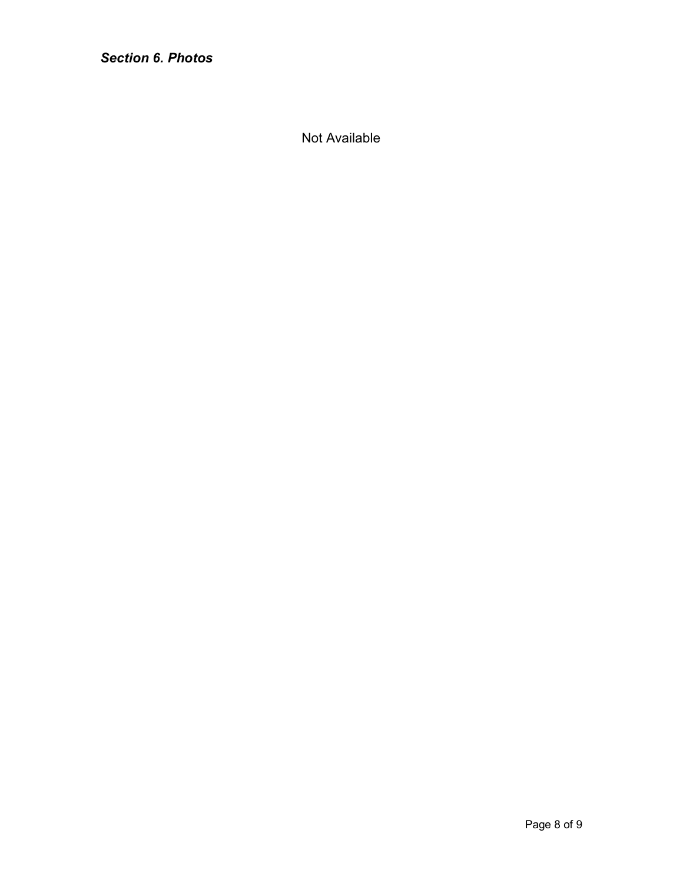*Section 6. Photos*

Not Available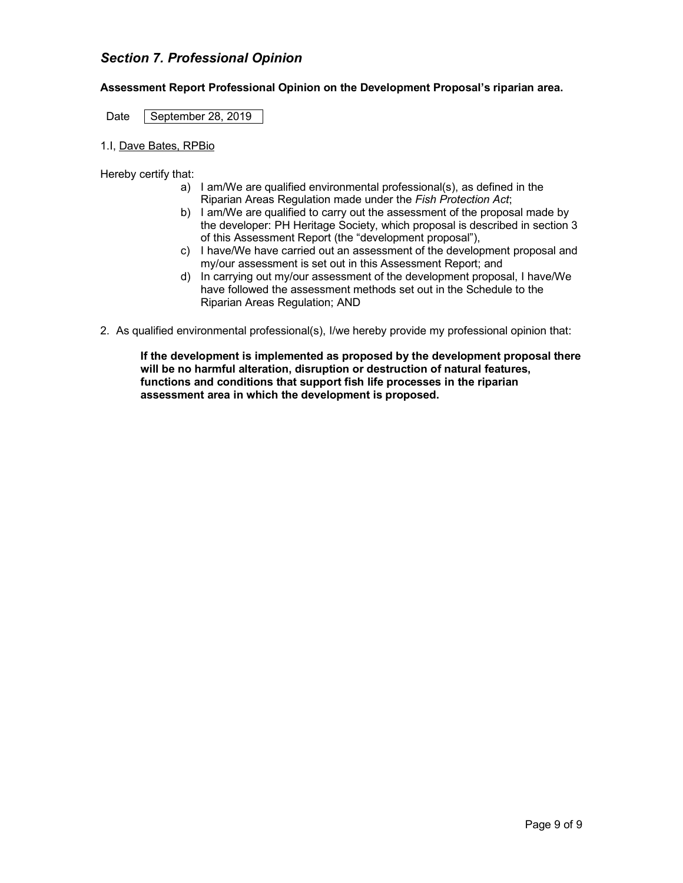# *Section 7. Professional Opinion*

#### **Assessment Report Professional Opinion on the Development Proposal's riparian area.**

Date September 28, 2019

1.I, Dave Bates, RPBio

Hereby certify that:

- a) I am/We are qualified environmental professional(s), as defined in the Riparian Areas Regulation made under the *Fish Protection Act*;
- b) I am/We are qualified to carry out the assessment of the proposal made by the developer: PH Heritage Society, which proposal is described in section 3 of this Assessment Report (the "development proposal"),
- c) I have/We have carried out an assessment of the development proposal and my/our assessment is set out in this Assessment Report; and
- d) In carrying out my/our assessment of the development proposal, I have/We have followed the assessment methods set out in the Schedule to the Riparian Areas Regulation; AND
- 2. As qualified environmental professional(s), I/we hereby provide my professional opinion that:

**If the development is implemented as proposed by the development proposal there will be no harmful alteration, disruption or destruction of natural features, functions and conditions that support fish life processes in the riparian assessment area in which the development is proposed.**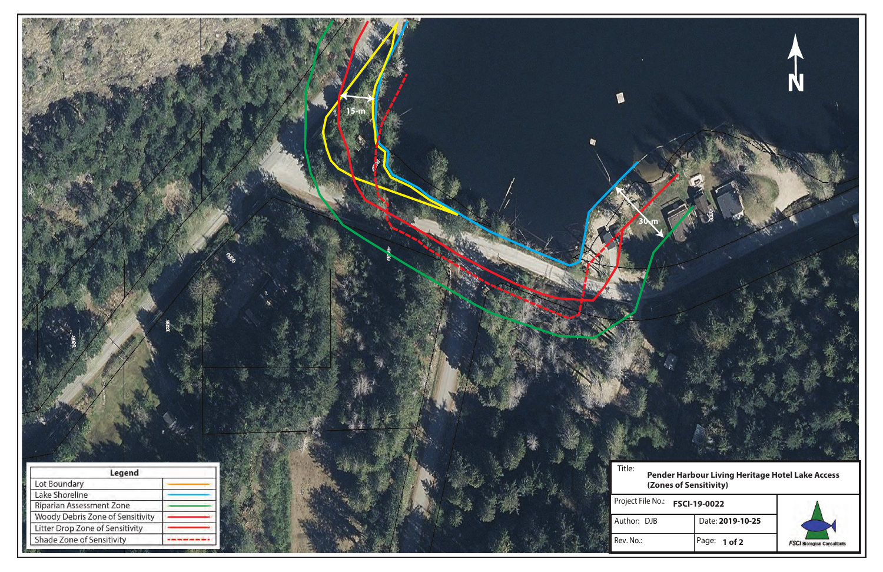

|      | <sup>2</sup> No.: FSCI-19-0022 |                  |  |  |
|------|--------------------------------|------------------|--|--|
| ) JB |                                | Date: 2019-10-25 |  |  |
|      |                                | Page: 1 of 2     |  |  |